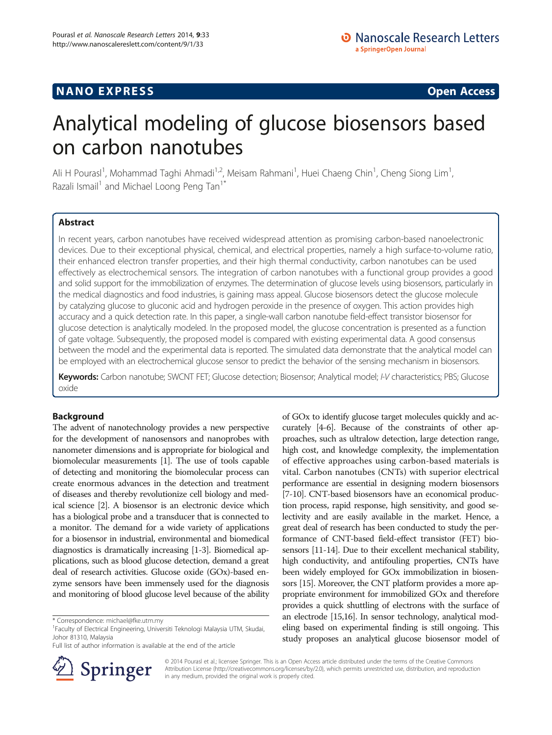## **NANO EXPRESS** Open Access **CONSTRUCTER**

# Analytical modeling of glucose biosensors based on carbon nanotubes

Ali H Pourasl<sup>1</sup>, Mohammad Taghi Ahmadi<sup>1,2</sup>, Meisam Rahmani<sup>1</sup>, Huei Chaeng Chin<sup>1</sup>, Cheng Siong Lim<sup>1</sup> , Razali Ismail<sup>1</sup> and Michael Loong Peng Tan<sup>1\*</sup>

## Abstract

In recent years, carbon nanotubes have received widespread attention as promising carbon-based nanoelectronic devices. Due to their exceptional physical, chemical, and electrical properties, namely a high surface-to-volume ratio, their enhanced electron transfer properties, and their high thermal conductivity, carbon nanotubes can be used effectively as electrochemical sensors. The integration of carbon nanotubes with a functional group provides a good and solid support for the immobilization of enzymes. The determination of glucose levels using biosensors, particularly in the medical diagnostics and food industries, is gaining mass appeal. Glucose biosensors detect the glucose molecule by catalyzing glucose to gluconic acid and hydrogen peroxide in the presence of oxygen. This action provides high accuracy and a quick detection rate. In this paper, a single-wall carbon nanotube field-effect transistor biosensor for glucose detection is analytically modeled. In the proposed model, the glucose concentration is presented as a function of gate voltage. Subsequently, the proposed model is compared with existing experimental data. A good consensus between the model and the experimental data is reported. The simulated data demonstrate that the analytical model can be employed with an electrochemical glucose sensor to predict the behavior of the sensing mechanism in biosensors.

Keywords: Carbon nanotube; SWCNT FET; Glucose detection; Biosensor; Analytical model; I-V characteristics; PBS; Glucose oxide

## Background

The advent of nanotechnology provides a new perspective for the development of nanosensors and nanoprobes with nanometer dimensions and is appropriate for biological and biomolecular measurements [\[1\]](#page-5-0). The use of tools capable of detecting and monitoring the biomolecular process can create enormous advances in the detection and treatment of diseases and thereby revolutionize cell biology and medical science [\[2](#page-5-0)]. A biosensor is an electronic device which has a biological probe and a transducer that is connected to a monitor. The demand for a wide variety of applications for a biosensor in industrial, environmental and biomedical diagnostics is dramatically increasing [[1-3\]](#page-5-0). Biomedical applications, such as blood glucose detection, demand a great deal of research activities. Glucose oxide (GOx)-based enzyme sensors have been immensely used for the diagnosis and monitoring of blood glucose level because of the ability

Full list of author information is available at the end of the article



of GOx to identify glucose target molecules quickly and accurately [\[4-6](#page-5-0)]. Because of the constraints of other approaches, such as ultralow detection, large detection range, high cost, and knowledge complexity, the implementation of effective approaches using carbon-based materials is vital. Carbon nanotubes (CNTs) with superior electrical performance are essential in designing modern biosensors [[7](#page-5-0)-[10](#page-5-0)]. CNT-based biosensors have an economical production process, rapid response, high sensitivity, and good selectivity and are easily available in the market. Hence, a great deal of research has been conducted to study the performance of CNT-based field-effect transistor (FET) biosensors [\[11](#page-5-0)[-14\]](#page-6-0). Due to their excellent mechanical stability, high conductivity, and antifouling properties, CNTs have been widely employed for GOx immobilization in biosensors [\[15](#page-6-0)]. Moreover, the CNT platform provides a more appropriate environment for immobilized GOx and therefore provides a quick shuttling of electrons with the surface of an electrode [[15,16\]](#page-6-0). In sensor technology, analytical modeling based on experimental finding is still ongoing. This study proposes an analytical glucose biosensor model of

© 2014 Pourasl et al.; licensee Springer. This is an Open Access article distributed under the terms of the Creative Commons Attribution License [\(http://creativecommons.org/licenses/by/2.0\)](http://creativecommons.org/licenses/by/2.0), which permits unrestricted use, distribution, and reproduction in any medium, provided the original work is properly cited.

<sup>\*</sup> Correspondence: [michael@fke.utm.my](mailto:michael@fke.utm.my) <sup>1</sup>

Faculty of Electrical Engineering, Universiti Teknologi Malaysia UTM, Skudai, Johor 81310, Malaysia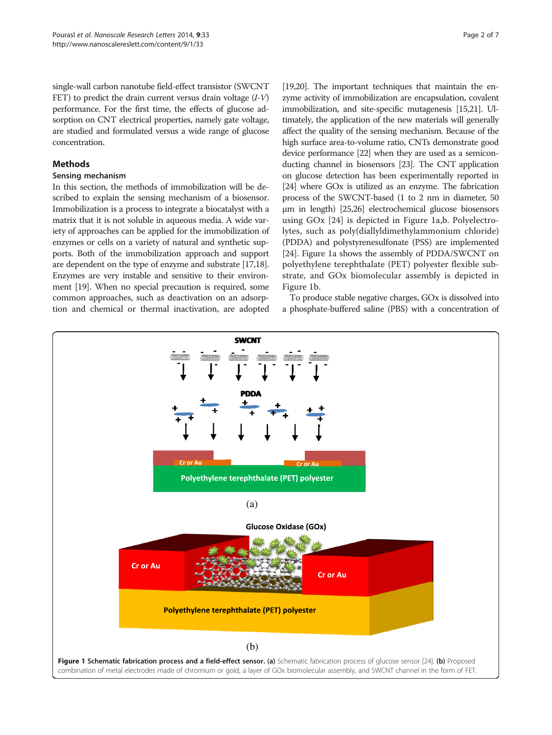<span id="page-1-0"></span>single-wall carbon nanotube field-effect transistor (SWCNT FET) to predict the drain current versus drain voltage  $(I-V)$ performance. For the first time, the effects of glucose adsorption on CNT electrical properties, namely gate voltage, are studied and formulated versus a wide range of glucose concentration.

## **Methods**

## Sensing mechanism

In this section, the methods of immobilization will be described to explain the sensing mechanism of a biosensor. Immobilization is a process to integrate a biocatalyst with a matrix that it is not soluble in aqueous media. A wide variety of approaches can be applied for the immobilization of enzymes or cells on a variety of natural and synthetic supports. Both of the immobilization approach and support are dependent on the type of enzyme and substrate [\[17,18](#page-6-0)]. Enzymes are very instable and sensitive to their environment [\[19\]](#page-6-0). When no special precaution is required, some common approaches, such as deactivation on an adsorption and chemical or thermal inactivation, are adopted

[[19,20\]](#page-6-0). The important techniques that maintain the enzyme activity of immobilization are encapsulation, covalent immobilization, and site-specific mutagenesis [\[15,21](#page-6-0)]. Ultimately, the application of the new materials will generally affect the quality of the sensing mechanism. Because of the high surface area-to-volume ratio, CNTs demonstrate good device performance [\[22\]](#page-6-0) when they are used as a semiconducting channel in biosensors [\[23\]](#page-6-0). The CNT application on glucose detection has been experimentally reported in [[24](#page-6-0)] where GOx is utilized as an enzyme. The fabrication process of the SWCNT-based (1 to 2 nm in diameter, 50 μm in length) [[25,26\]](#page-6-0) electrochemical glucose biosensors using GOx [[24\]](#page-6-0) is depicted in Figure 1a,b. Polyelectrolytes, such as poly(diallyldimethylammonium chloride) (PDDA) and polystyrenesulfonate (PSS) are implemented [[24](#page-6-0)]. Figure 1a shows the assembly of PDDA/SWCNT on polyethylene terephthalate (PET) polyester flexible substrate, and GOx biomolecular assembly is depicted in Figure 1b.

To produce stable negative charges, GOx is dissolved into a phosphate-buffered saline (PBS) with a concentration of

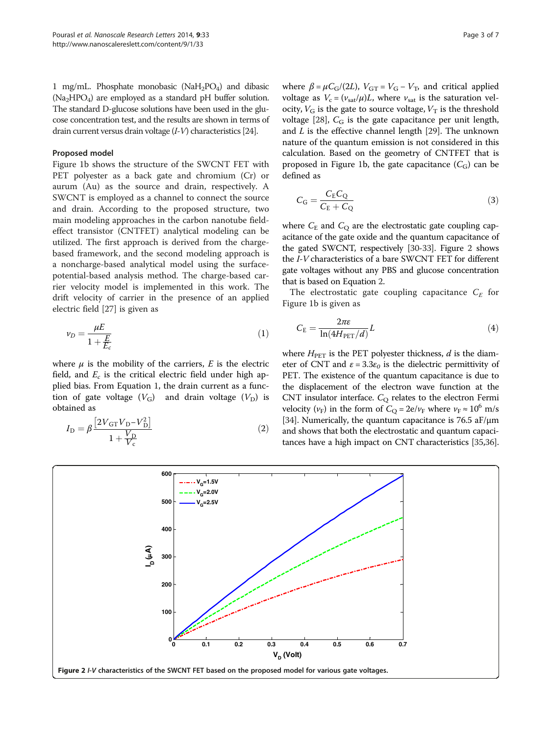1 mg/mL. Phosphate monobasic ( $NaH_2PO_4$ ) and dibasic  $(Na_2HPO_4)$  are employed as a standard pH buffer solution. The standard D-glucose solutions have been used in the glucose concentration test, and the results are shown in terms of drain current versus drain voltage (I-V) characteristics [[24\]](#page-6-0).

#### Proposed model

Figure [1b](#page-1-0) shows the structure of the SWCNT FET with PET polyester as a back gate and chromium (Cr) or aurum (Au) as the source and drain, respectively. A SWCNT is employed as a channel to connect the source and drain. According to the proposed structure, two main modeling approaches in the carbon nanotube fieldeffect transistor (CNTFET) analytical modeling can be utilized. The first approach is derived from the chargebased framework, and the second modeling approach is a noncharge-based analytical model using the surfacepotential-based analysis method. The charge-based carrier velocity model is implemented in this work. The drift velocity of carrier in the presence of an applied electric field [[27\]](#page-6-0) is given as

$$
\nu_D = \frac{\mu E}{1 + \frac{E}{E_c}}\tag{1}
$$

where  $\mu$  is the mobility of the carriers, E is the electric field, and  $E_c$  is the critical electric field under high applied bias. From Equation 1, the drain current as a function of gate voltage  $(V_G)$  and drain voltage  $(V_D)$  is obtained as

$$
I_{\rm D} = \beta \frac{\left[2V_{\rm GT}V_{\rm D} - V_{\rm D}^2\right]}{1 + \frac{V_{\rm D}}{V_{\rm c}}} \tag{2}
$$

where  $\beta = \mu C_G/(2L)$ ,  $V_{GT} = V_G - V_T$ , and critical applied voltage as  $V_c = (v_{sat}/\mu)L$ , where  $v_{sat}$  is the saturation velocity,  $V_{\text{G}}$  is the gate to source voltage,  $V_{\text{T}}$  is the threshold voltage [[28](#page-6-0)],  $C_G$  is the gate capacitance per unit length, and  $L$  is the effective channel length [\[29\]](#page-6-0). The unknown nature of the quantum emission is not considered in this calculation. Based on the geometry of CNTFET that is proposed in Figure [1b](#page-1-0), the gate capacitance  $(C_G)$  can be defined as

$$
C_{\rm G} = \frac{C_{\rm E} C_{\rm Q}}{C_{\rm E} + C_{\rm Q}}\tag{3}
$$

where  $C_{\rm E}$  and  $C_{\rm Q}$  are the electrostatic gate coupling capacitance of the gate oxide and the quantum capacitance of the gated SWCNT, respectively [[30](#page-6-0)-[33\]](#page-6-0). Figure 2 shows the I-V characteristics of a bare SWCNT FET for different gate voltages without any PBS and glucose concentration that is based on Equation 2.

The electrostatic gate coupling capacitance  $C_E$  for Figure [1b](#page-1-0) is given as

$$
C_{\rm E} = \frac{2\pi\epsilon}{\ln(4H_{\rm PET}/d)}L\tag{4}
$$

where  $H<sub>PET</sub>$  is the PET polyester thickness,  $d$  is the diameter of CNT and  $\varepsilon = 3.3\varepsilon_0$  is the dielectric permittivity of PET. The existence of the quantum capacitance is due to the displacement of the electron wave function at the CNT insulator interface.  $C_{\text{O}}$  relates to the electron Fermi velocity ( $v_F$ ) in the form of  $C_Q = 2e/v_F$  where  $v_F \approx 10^6$  m/s [[34](#page-6-0)]. Numerically, the quantum capacitance is  $76.5$  aF/ $\mu$ m and shows that both the electrostatic and quantum capacitances have a high impact on CNT characteristics [\[35,36](#page-6-0)].

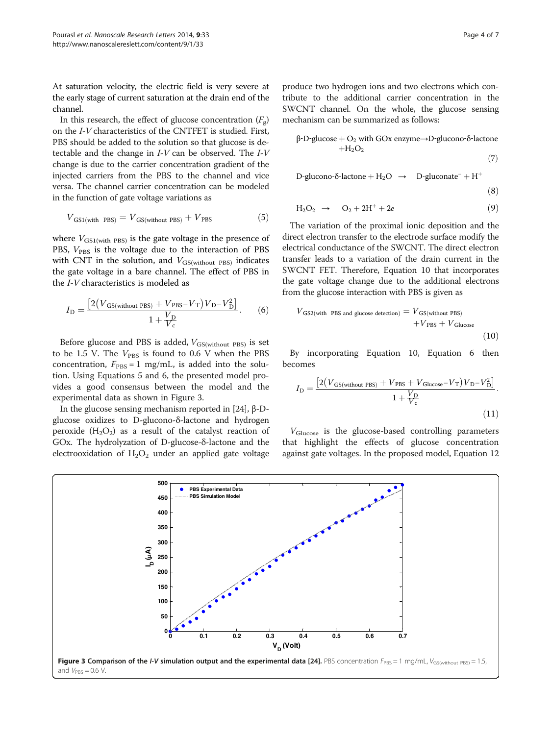At saturation velocity, the electric field is very severe at the early stage of current saturation at the drain end of the channel.

In this research, the effect of glucose concentration  $(F_g)$ on the I-V characteristics of the CNTFET is studied. First, PBS should be added to the solution so that glucose is detectable and the change in I-V can be observed. The I-V change is due to the carrier concentration gradient of the injected carriers from the PBS to the channel and vice versa. The channel carrier concentration can be modeled in the function of gate voltage variations as

$$
V_{\text{GS1}(\text{with } \text{PBS})} = V_{\text{GS}(\text{without } \text{PBS})} + V_{\text{PBS}} \tag{5}
$$

where  $V_{GS1(with PBS)}$  is the gate voltage in the presence of PBS,  $V_{\text{PBS}}$  is the voltage due to the interaction of PBS with CNT in the solution, and  $V_{GS(without PBS)}$  indicates the gate voltage in a bare channel. The effect of PBS in the I-V characteristics is modeled as

$$
I_{\rm D} = \frac{\left[2\left(V_{\rm GS(without PBS)} + V_{\rm PBS} - V_{\rm T}\right)V_{\rm D} - V_{\rm D}^2\right]}{1 + \frac{V_{\rm D}}{V_{\rm c}}}.\tag{6}
$$

Before glucose and PBS is added,  $V_{GS(without PBS)}$  is set to be 1.5 V. The  $V_{\rm PBS}$  is found to 0.6 V when the PBS concentration,  $F_{\text{PBS}} = 1$  mg/mL, is added into the solution. Using Equations 5 and 6, the presented model provides a good consensus between the model and the experimental data as shown in Figure 3.

In the glucose sensing mechanism reported in [\[24\]](#page-6-0), β-Dglucose oxidizes to D-glucono-δ-lactone and hydrogen peroxide  $(H_2O_2)$  as a result of the catalyst reaction of GOx. The hydrolyzation of D-glucose-δ-lactone and the electrooxidation of  $H_2O_2$  under an applied gate voltage

produce two hydrogen ions and two electrons which contribute to the additional carrier concentration in the SWCNT channel. On the whole, the glucose sensing mechanism can be summarized as follows:

$$
\beta-D-glucose + O_2 \text{ with GOx enzyme} \rightarrow D-glucono-\delta-lactone + H_2O_2
$$
\n(7)

D‐glucono‐δ‐lactone + H<sub>2</sub>O → D‐gluconate<sup>–</sup> + H<sup>+</sup>

$$
(8)
$$

$$
H_2O_2 \rightarrow O_2 + 2H^+ + 2e \tag{9}
$$

The variation of the proximal ionic deposition and the direct electron transfer to the electrode surface modify the electrical conductance of the SWCNT. The direct electron transfer leads to a variation of the drain current in the SWCNT FET. Therefore, Equation 10 that incorporates the gate voltage change due to the additional electrons from the glucose interaction with PBS is given as

$$
V_{\rm GS2 (with\ PBS\ and\ glucose\ detection)} = V_{\rm GS (without\ PBS)}\\ + V_{\rm PBS} + V_{\rm Glucose} \eqno{(10)}
$$

By incorporating Equation 10, Equation 6 then becomes

$$
I_{\rm D} = \frac{\left[2\left(V_{\rm GS(without PBS)} + V_{\rm PBS} + V_{\rm Glucose} - V_{\rm T}\right)V_{\rm D} - V_{\rm D}^2\right]}{1 + \frac{V_{\rm D}}{V_{\rm c}}}.
$$
\n(11)

VGlucose is the glucose-based controlling parameters that highlight the effects of glucose concentration against gate voltages. In the proposed model, Equation [12](#page-4-0)

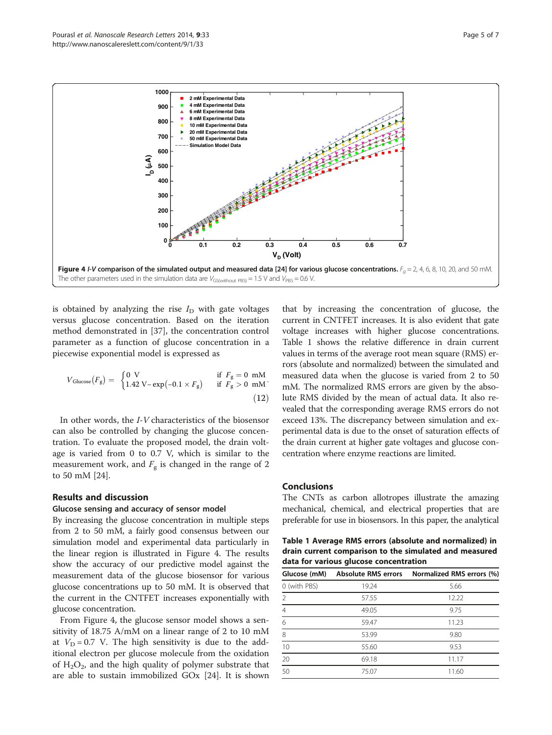<span id="page-4-0"></span>

is obtained by analyzing the rise  $I_D$  with gate voltages versus glucose concentration. Based on the iteration method demonstrated in [[37\]](#page-6-0), the concentration control parameter as a function of glucose concentration in a piecewise exponential model is expressed as

$$
V_{\text{Glucose}}(F_{\text{g}}) = \begin{cases} 0 \text{ V} & \text{if } F_{\text{g}} = 0 \text{ mM} \\ 1.42 \text{ V} - \exp(-0.1 \times F_{\text{g}}) & \text{if } F_{\text{g}} > 0 \text{ mM} \end{cases}
$$
(12)

In other words, the I-V characteristics of the biosensor can also be controlled by changing the glucose concentration. To evaluate the proposed model, the drain voltage is varied from 0 to 0.7 V, which is similar to the measurement work, and  $F_g$  is changed in the range of 2 to 50 mM [\[24\]](#page-6-0).

#### Results and discussion

## Glucose sensing and accuracy of sensor model

By increasing the glucose concentration in multiple steps from 2 to 50 mM, a fairly good consensus between our simulation model and experimental data particularly in the linear region is illustrated in Figure 4. The results show the accuracy of our predictive model against the measurement data of the glucose biosensor for various glucose concentrations up to 50 mM. It is observed that the current in the CNTFET increases exponentially with glucose concentration.

From Figure 4, the glucose sensor model shows a sensitivity of 18.75 A/mM on a linear range of 2 to 10 mM at  $V_D = 0.7$  V. The high sensitivity is due to the additional electron per glucose molecule from the oxidation of  $H_2O_2$ , and the high quality of polymer substrate that are able to sustain immobilized GOx [[24](#page-6-0)]. It is shown

that by increasing the concentration of glucose, the current in CNTFET increases. It is also evident that gate voltage increases with higher glucose concentrations. Table 1 shows the relative difference in drain current values in terms of the average root mean square (RMS) errors (absolute and normalized) between the simulated and measured data when the glucose is varied from 2 to 50 mM. The normalized RMS errors are given by the absolute RMS divided by the mean of actual data. It also revealed that the corresponding average RMS errors do not exceed 13%. The discrepancy between simulation and experimental data is due to the onset of saturation effects of the drain current at higher gate voltages and glucose concentration where enzyme reactions are limited.

#### Conclusions

The CNTs as carbon allotropes illustrate the amazing mechanical, chemical, and electrical properties that are preferable for use in biosensors. In this paper, the analytical

Table 1 Average RMS errors (absolute and normalized) in drain current comparison to the simulated and measured data for various glucose concentration

| Glucose (mM)   |       | Absolute RMS errors Normalized RMS errors (%) |
|----------------|-------|-----------------------------------------------|
| 0 (with PBS)   | 19.24 | 5.66                                          |
| $\overline{2}$ | 57.55 | 12.22                                         |
| $\overline{4}$ | 49.05 | 9.75                                          |
| 6              | 59.47 | 11.23                                         |
| 8              | 53.99 | 9.80                                          |
| 10             | 55.60 | 9.53                                          |
| 20             | 69.18 | 11.17                                         |
| 50             | 75.07 | 11.60                                         |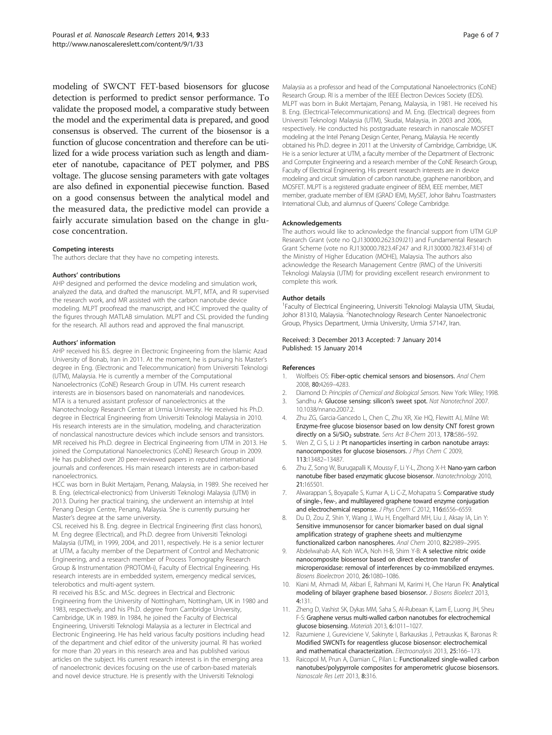<span id="page-5-0"></span>modeling of SWCNT FET-based biosensors for glucose detection is performed to predict sensor performance. To validate the proposed model, a comparative study between the model and the experimental data is prepared, and good consensus is observed. The current of the biosensor is a function of glucose concentration and therefore can be utilized for a wide process variation such as length and diameter of nanotube, capacitance of PET polymer, and PBS voltage. The glucose sensing parameters with gate voltages are also defined in exponential piecewise function. Based on a good consensus between the analytical model and the measured data, the predictive model can provide a fairly accurate simulation based on the change in glucose concentration.

#### Competing interests

The authors declare that they have no competing interests.

#### Authors' contributions

AHP designed and performed the device modeling and simulation work, analyzed the data, and drafted the manuscript. MLPT, MTA, and RI supervised the research work, and MR assisted with the carbon nanotube device modeling. MLPT proofread the manuscript, and HCC improved the quality of the figures through MATLAB simulation. MLPT and CSL provided the funding for the research. All authors read and approved the final manuscript.

#### Authors' information

AHP received his B.S. degree in Electronic Engineering from the Islamic Azad University of Bonab, Iran in 2011. At the moment, he is pursuing his Master's degree in Eng. (Electronic and Telecommunication) from Universiti Teknologi (UTM), Malaysia. He is currently a member of the Computational Nanoelectronics (CoNE) Research Group in UTM. His current research interests are in biosensors based on nanomaterials and nanodevices. MTA is a tenured assistant professor of nanoelectronics at the Nanotechnology Research Center at Urmia University. He received his Ph.D. degree in Electrical Engineering from Universiti Teknologi Malaysia in 2010. His research interests are in the simulation, modeling, and characterization of nonclassical nanostructure devices which include sensors and transistors. MR received his Ph.D. degree in Electrical Engineering from UTM in 2013. He joined the Computational Nanoelectronics (CoNE) Research Group in 2009. He has published over 20 peer-reviewed papers in reputed international journals and conferences. His main research interests are in carbon-based nanoelectronics.

HCC was born in Bukit Mertajam, Penang, Malaysia, in 1989. She received her B. Eng. (electrical-electronics) from Universiti Teknologi Malaysia (UTM) in 2013. During her practical training, she underwent an internship at Intel Penang Design Centre, Penang, Malaysia. She is currently pursuing her Master's degree at the same university.

CSL received his B. Eng. degree in Electrical Engineering (first class honors), M. Eng degree (Electrical), and Ph.D. degree from Universiti Teknologi Malaysia (UTM), in 1999, 2004, and 2011, respectively. He is a senior lecturer at UTM, a faculty member of the Department of Control and Mechatronic Engineering, and a research member of Process Tomography Research Group & Instrumentation (PROTOM-i), Faculty of Electrical Engineering. His research interests are in embedded system, emergency medical services, telerobotics and multi-agent system.

RI received his B.Sc. and M.Sc. degrees in Electrical and Electronic Engineering from the University of Nottingham, Nottingham, UK in 1980 and 1983, respectively, and his Ph.D. degree from Cambridge University, Cambridge, UK in 1989. In 1984, he joined the Faculty of Electrical Engineering, Universiti Teknologi Malaysia as a lecturer in Electrical and Electronic Engineering. He has held various faculty positions including head of the department and chief editor of the university journal. RI has worked for more than 20 years in this research area and has published various articles on the subject. His current research interest is in the emerging area of nanoelectronic devices focusing on the use of carbon-based materials and novel device structure. He is presently with the Universiti Teknologi

Malaysia as a professor and head of the Computational Nanoelectronics (CoNE) Research Group. RI is a member of the IEEE Electron Devices Society (EDS). MLPT was born in Bukit Mertajam, Penang, Malaysia, in 1981. He received his B. Eng. (Electrical-Telecommunications) and M. Eng. (Electrical) degrees from Universiti Teknologi Malaysia (UTM), Skudai, Malaysia, in 2003 and 2006, respectively. He conducted his postgraduate research in nanoscale MOSFET modeling at the Intel Penang Design Center, Penang, Malaysia. He recently obtained his Ph.D. degree in 2011 at the University of Cambridge, Cambridge, UK. He is a senior lecturer at UTM, a faculty member of the Department of Electronic and Computer Engineering and a research member of the CoNE Research Group, Faculty of Electrical Engineering. His present research interests are in device modeling and circuit simulation of carbon nanotube, graphene nanoribbon, and MOSFET. MLPT is a registered graduate engineer of BEM, IEEE member, MIET member, graduate member of IEM (GRAD IEM), MySET, Johor Bahru Toastmasters International Club, and alumnus of Queens' College Cambridge.

#### Acknowledgements

The authors would like to acknowledge the financial support from UTM GUP Research Grant (vote no Q.J130000.2623.09J21) and Fundamental Research Grant Scheme (vote no R.J130000.7823.4F247 and R.J130000.7823.4F314) of the Ministry of Higher Education (MOHE), Malaysia. The authors also acknowledge the Research Management Centre (RMC) of the Universiti Teknologi Malaysia (UTM) for providing excellent research environment to complete this work.

#### Author details

1 Faculty of Electrical Engineering, Universiti Teknologi Malaysia UTM, Skudai, Johor 81310, Malaysia. <sup>2</sup>Nanotechnology Research Center Nanoelectronic Group, Physics Department, Urmia University, Urmia 57147, Iran.

#### Received: 3 December 2013 Accepted: 7 January 2014 Published: 15 January 2014

#### References

- 1. Wolfbeis OS: Fiber-optic chemical sensors and biosensors. Anal Chem 2008, 80:4269–4283.
- 2. Diamond D: Principles of Chemical and Biological Sensors. New York: Wiley; 1998. 3. Sandhu A: Glucose sensing: silicon's sweet spot. Nat Nanotechnol 2007.
- 10.1038/nnano.2007.2.
- 4. Zhu ZG, Garcia-Gancedo L, Chen C, Zhu XR, Xie HQ, Flewitt AJ, Milne WI: Enzyme-free glucose biosensor based on low density CNT forest grown directly on a Si/SiO<sub>2</sub> substrate. Sens Act B-Chem 2013, 178:586-592.
- 5. Wen Z, Ci S, Li J: Pt nanoparticles inserting in carbon nanotube arrays: nanocomposites for glucose biosensors. J Phys Chem C 2009, 113:13482–13487.
- 6. Zhu Z, Song W, Burugapalli K, Moussy F, Li Y-L, Zhong X-H: Nano-yarn carbon nanotube fiber based enzymatic glucose biosensor. Nanotechnology 2010, 21:165501.
- 7. Alwarappan S, Boyapalle S, Kumar A, Li C-Z, Mohapatra S: Comparative study of single-, few-, and multilayered graphene toward enzyme conjugation and electrochemical response. J Phys Chem C 2012, 116:6556-6559.
- 8. Du D, Zou Z, Shin Y, Wang J, Wu H, Engelhard MH, Liu J, Aksay IA, Lin Y: Sensitive immunosensor for cancer biomarker based on dual signal amplification strategy of graphene sheets and multienzyme functionalized carbon nanospheres. Anal Chem 2010, 82:2989–2995.
- 9. Abdelwahab AA, Koh WCA, Noh H-B, Shim Y-B: A selective nitric oxide nanocomposite biosensor based on direct electron transfer of microperoxidase: removal of interferences by co-immobilized enzymes. Biosens Bioelectron 2010, 26:1080–1086.
- 10. Kiani M, Ahmadi M, Akbari E, Rahmani M, Karimi H, Che Harun FK: Analytical modeling of bilayer graphene based biosensor. J Biosens Bioelect 2013, 4:131.
- 11. Zheng D, Vashist SK, Dykas MM, Saha S, Al-Rubeaan K, Lam E, Luong JH, Sheu F-S: Graphene versus multi-walled carbon nanotubes for electrochemical glucose biosensing. Materials 2013, 6:1011–1027.
- 12. Razumiene J, Gureviciene V, Sakinyte I, Barkauskas J, Petrauskas K, Baronas R: Modified SWCNTs for reagentless glucose biosensor: electrochemical and mathematical characterization. Electroanalysis 2013, 25:166–173.
- 13. Raicopol M, Prun A, Damian C, Pilan L: Functionalized single-walled carbon nanotubes/polypyrrole composites for amperometric glucose biosensors. Nanoscale Res Lett 2013, 8:316.